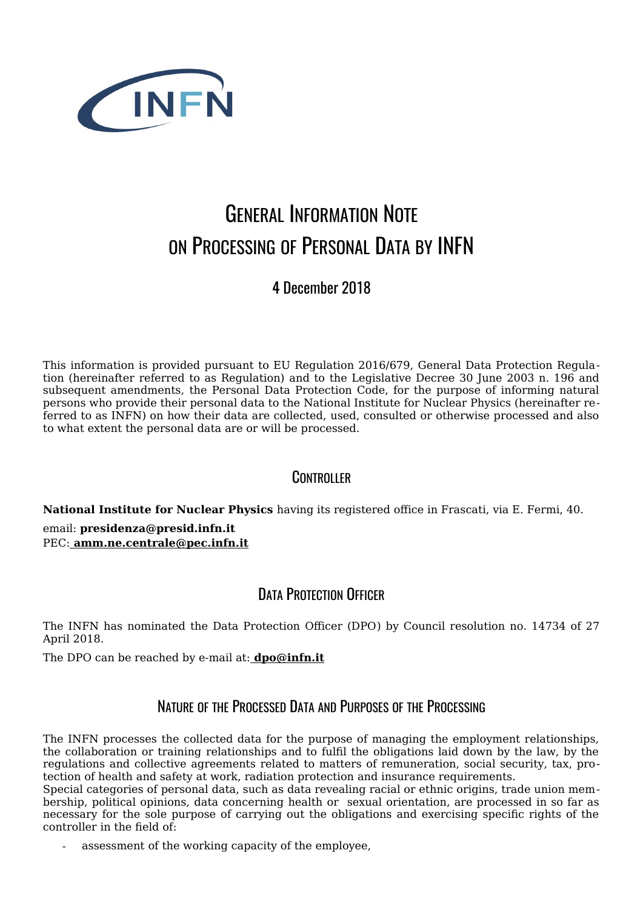

# GENERAL INFORMATION NOTE ON PROCESSING OF PERSONAL DATA BY INFN

4 December 2018

This information is provided pursuant to EU Regulation 2016/679, General Data Protection Regulation (hereinafter referred to as Regulation) and to the Legislative Decree 30 June 2003 n. 196 and subsequent amendments, the Personal Data Protection Code, for the purpose of informing natural persons who provide their personal data to the National Institute for Nuclear Physics (hereinafter referred to as INFN) on how their data are collected, used, consulted or otherwise processed and also to what extent the personal data are or will be processed.

## **CONTROLLER**

**[N](mailto:amm.ne.centrale@pec.infn.it)[ational Institute for](mailto:presidenza@presid.infn.it) [N](mailto:amm.ne.centrale@pec.infn.it)uclear Physics** having its registered office in Frascati, via E. Fermi, 40.

email: **presidenza@presid.infn.it** PEC: **amm.ne.centrale@pec.infn.it**

## DATA PROTECTION OFFICER

The INFN has nominated the Data Protection Officer (DPO) by Council resolution no. 14734 of 27 April 2018.

The DPO can be reached by e-mail at: **dpo@infn.it**

## NATURE OF THE PROCESSED DATA AND PURPOSES OF THE PROCESSING

The INFN processes the collected data for the purpose of managing the employment relationships, the collaboration or training relationships and to fulfil the obligations laid down by the law, by the regulations and collective agreements related to matters of remuneration, social security, tax, protection of health and safety at work, radiation protection and insurance requirements.

Special categories of personal data, such as data revealing racial or ethnic origins, trade union membership, political opinions, data concerning health or sexual orientation, are processed in so far as necessary for the sole purpose of carrying out the obligations and exercising specific rights of the controller in the field of:

assessment of the working capacity of the employee,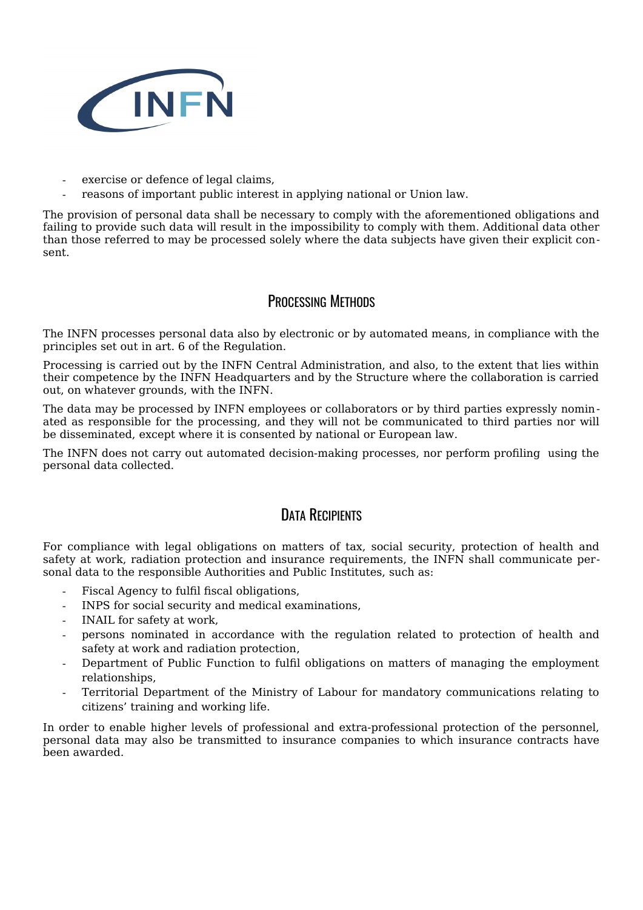

- exercise or defence of legal claims,
- reasons of important public interest in applying national or Union law.

The provision of personal data shall be necessary to comply with the aforementioned obligations and failing to provide such data will result in the impossibility to comply with them. Additional data other than those referred to may be processed solely where the data subjects have given their explicit consent.

#### PROCESSING METHODS

The INFN processes personal data also by electronic or by automated means, in compliance with the principles set out in art. 6 of the Regulation.

Processing is carried out by the INFN Central Administration, and also, to the extent that lies within their competence by the INFN Headquarters and by the Structure where the collaboration is carried out, on whatever grounds, with the INFN.

The data may be processed by INFN employees or collaborators or by third parties expressly nominated as responsible for the processing, and they will not be communicated to third parties nor will be disseminated, except where it is consented by national or European law.

The INFN does not carry out automated decision-making processes, nor perform profiling using the personal data collected.

## DATA RECIPIENTS

For compliance with legal obligations on matters of tax, social security, protection of health and safety at work, radiation protection and insurance requirements, the INFN shall communicate personal data to the responsible Authorities and Public Institutes, such as:

- Fiscal Agency to fulfil fiscal obligations,
- INPS for social security and medical examinations,
- INAIL for safety at work,
- persons nominated in accordance with the regulation related to protection of health and safety at work and radiation protection,
- Department of Public Function to fulfil obligations on matters of managing the employment relationships,
- Territorial Department of the Ministry of Labour for mandatory communications relating to citizens' training and working life.

In order to enable higher levels of professional and extra-professional protection of the personnel, personal data may also be transmitted to insurance companies to which insurance contracts have been awarded.